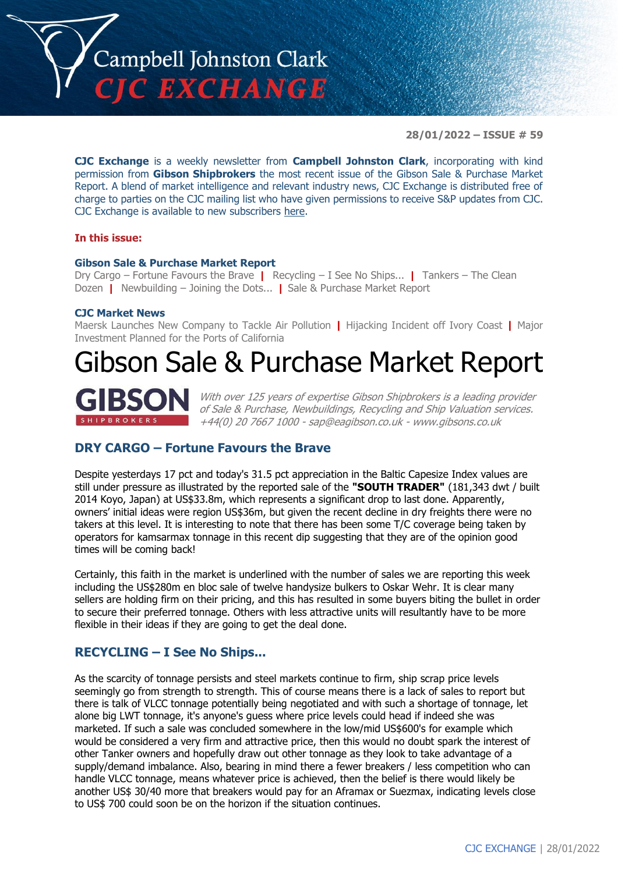

**28/01/2022 – ISSUE # 59**

**CJC Exchange** is a weekly newsletter from **Campbell Johnston Clark**, incorporating with kind permission from **Gibson Shipbrokers** the most recent issue of the Gibson Sale & Purchase Market Report. A blend of market intelligence and relevant industry news, CJC Exchange is distributed free of charge to parties on the CJC mailing list who have given permissions to receive S&P updates from CJC. CJC Exchange is available to new subscribers [here.](mailto:jamesc@cjclaw.com?subject=CJC%20Exchange%20sign-up)

### **In this issue:**

#### **Gibson Sale & Purchase Market Report**

Dry Cargo – Fortune Favours the Brave **|** Recycling – I See No Ships... **|** Tankers – The Clean Dozen **|** Newbuilding – Joining the Dots... **|** Sale & Purchase Market Report

### **CJC Market News**

Maersk Launches New Company to Tackle Air Pollution **|** Hijacking Incident off Ivory Coast **|** Major Investment Planned for the Ports of California

# Gibson Sale & Purchase Market Report



With over 125 years of expertise Gibson Shipbrokers is a leading provider of Sale & Purchase, Newbuildings, Recycling and Ship Valuation services. +44(0) 20 7667 1000 - [sap@eagibson.co.uk](mailto:sap@eagibson.co.uk) - [www.gibsons.co.uk](https://protect-eu.mimecast.com/s/VO6nCGZzRS60KqcK1jQh/)

# **DRY CARGO – Fortune Favours the Brave**

Despite yesterdays 17 pct and today's 31.5 pct appreciation in the Baltic Capesize Index values are still under pressure as illustrated by the reported sale of the **"SOUTH TRADER"** (181,343 dwt / built 2014 Koyo, Japan) at US\$33.8m, which represents a significant drop to last done. Apparently, owners' initial ideas were region US\$36m, but given the recent decline in dry freights there were no takers at this level. It is interesting to note that there has been some T/C coverage being taken by operators for kamsarmax tonnage in this recent dip suggesting that they are of the opinion good times will be coming back!

Certainly, this faith in the market is underlined with the number of sales we are reporting this week including the US\$280m en bloc sale of twelve handysize bulkers to Oskar Wehr. It is clear many sellers are holding firm on their pricing, and this has resulted in some buyers biting the bullet in order to secure their preferred tonnage. Others with less attractive units will resultantly have to be more flexible in their ideas if they are going to get the deal done.

## **RECYCLING – I See No Ships...**

As the scarcity of tonnage persists and steel markets continue to firm, ship scrap price levels seemingly go from strength to strength. This of course means there is a lack of sales to report but there is talk of VLCC tonnage potentially being negotiated and with such a shortage of tonnage, let alone big LWT tonnage, it's anyone's guess where price levels could head if indeed she was marketed. If such a sale was concluded somewhere in the low/mid US\$600's for example which would be considered a very firm and attractive price, then this would no doubt spark the interest of other Tanker owners and hopefully draw out other tonnage as they look to take advantage of a supply/demand imbalance. Also, bearing in mind there a fewer breakers / less competition who can handle VLCC tonnage, means whatever price is achieved, then the belief is there would likely be another US\$ 30/40 more that breakers would pay for an Aframax or Suezmax, indicating levels close to US\$ 700 could soon be on the horizon if the situation continues.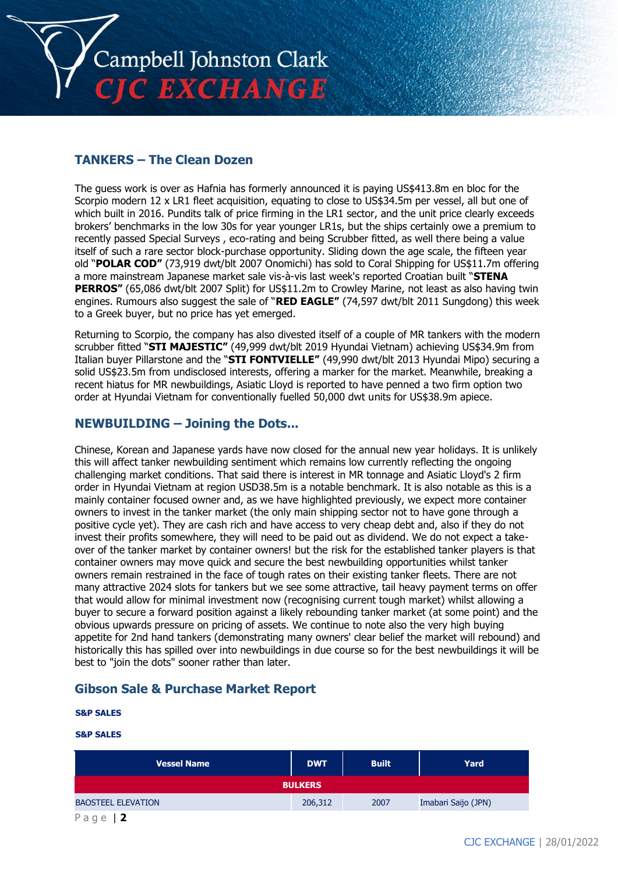

# **TANKERS – The Clean Dozen**

The guess work is over as Hafnia has formerly announced it is paying US\$413.8m en bloc for the Scorpio modern 12 x LR1 fleet acquisition, equating to close to US\$34.5m per vessel, all but one of which built in 2016. Pundits talk of price firming in the LR1 sector, and the unit price clearly exceeds brokers' benchmarks in the low 30s for year younger LR1s, but the ships certainly owe a premium to recently passed Special Surveys , eco-rating and being Scrubber fitted, as well there being a value itself of such a rare sector block-purchase opportunity. Sliding down the age scale, the fifteen year old "**POLAR COD"** (73,919 dwt/blt 2007 Onomichi) has sold to Coral Shipping for US\$11.7m offering a more mainstream Japanese market sale vis-à-vis last week's reported Croatian built "**STENA PERROS"** (65,086 dwt/blt 2007 Split) for US\$11.2m to Crowley Marine, not least as also having twin engines. Rumours also suggest the sale of "**RED EAGLE"** (74,597 dwt/blt 2011 Sungdong) this week to a Greek buyer, but no price has yet emerged.

Returning to Scorpio, the company has also divested itself of a couple of MR tankers with the modern scrubber fitted "**STI MAJESTIC"** (49,999 dwt/blt 2019 Hyundai Vietnam) achieving US\$34.9m from Italian buyer Pillarstone and the "**STI FONTVIELLE"** (49,990 dwt/blt 2013 Hyundai Mipo) securing a solid US\$23.5m from undisclosed interests, offering a marker for the market. Meanwhile, breaking a recent hiatus for MR newbuildings, Asiatic Lloyd is reported to have penned a two firm option two order at Hyundai Vietnam for conventionally fuelled 50,000 dwt units for US\$38.9m apiece.

## **NEWBUILDING – Joining the Dots...**

Chinese, Korean and Japanese yards have now closed for the annual new year holidays. It is unlikely this will affect tanker newbuilding sentiment which remains low currently reflecting the ongoing challenging market conditions. That said there is interest in MR tonnage and Asiatic Lloyd's 2 firm order in Hyundai Vietnam at region USD38.5m is a notable benchmark. It is also notable as this is a mainly container focused owner and, as we have highlighted previously, we expect more container owners to invest in the tanker market (the only main shipping sector not to have gone through a positive cycle yet). They are cash rich and have access to very cheap debt and, also if they do not invest their profits somewhere, they will need to be paid out as dividend. We do not expect a takeover of the tanker market by container owners! but the risk for the established tanker players is that container owners may move quick and secure the best newbuilding opportunities whilst tanker owners remain restrained in the face of tough rates on their existing tanker fleets. There are not many attractive 2024 slots for tankers but we see some attractive, tail heavy payment terms on offer that would allow for minimal investment now (recognising current tough market) whilst allowing a buyer to secure a forward position against a likely rebounding tanker market (at some point) and the obvious upwards pressure on pricing of assets. We continue to note also the very high buying appetite for 2nd hand tankers (demonstrating many owners' clear belief the market will rebound) and historically this has spilled over into newbuildings in due course so for the best newbuildings it will be best to "join the dots" sooner rather than later.

## **Gibson Sale & Purchase Market Report**

#### **S&P SALES**

#### **S&P SALES**

| <b>Vessel Name</b>        | <b>DWT</b> | <b>Built</b> | Yard                |  |  |
|---------------------------|------------|--------------|---------------------|--|--|
| <b>BULKERS</b>            |            |              |                     |  |  |
| <b>BAOSTEEL ELEVATION</b> | 206,312    | 2007         | Imabari Saijo (JPN) |  |  |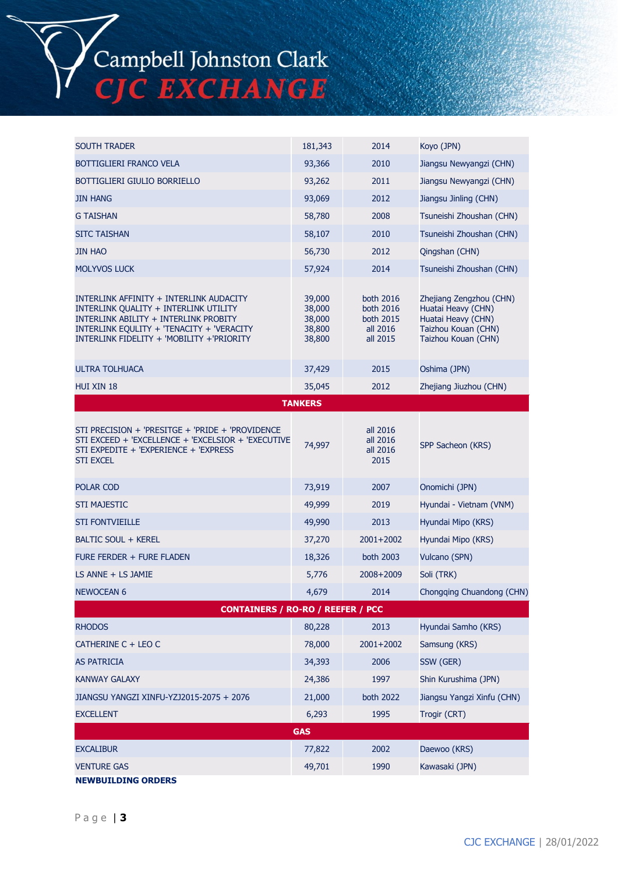

| <b>SOUTH TRADER</b>                                                                                                                                                                                                 | 181,343                                        | 2014                                                        | Koyo (JPN)                                                                                                        |  |  |  |
|---------------------------------------------------------------------------------------------------------------------------------------------------------------------------------------------------------------------|------------------------------------------------|-------------------------------------------------------------|-------------------------------------------------------------------------------------------------------------------|--|--|--|
| BOTTIGLIERI FRANCO VELA                                                                                                                                                                                             | 93,366                                         | 2010                                                        | Jiangsu Newyangzi (CHN)                                                                                           |  |  |  |
| BOTTIGLIERI GIULIO BORRIELLO                                                                                                                                                                                        | 93,262                                         | 2011                                                        | Jiangsu Newyangzi (CHN)                                                                                           |  |  |  |
| <b>JIN HANG</b>                                                                                                                                                                                                     | 93,069                                         | 2012                                                        | Jiangsu Jinling (CHN)                                                                                             |  |  |  |
| <b>G TAISHAN</b>                                                                                                                                                                                                    | 58,780                                         | 2008                                                        | Tsuneishi Zhoushan (CHN)                                                                                          |  |  |  |
| <b>SITC TAISHAN</b>                                                                                                                                                                                                 | 58,107                                         | 2010                                                        | Tsuneishi Zhoushan (CHN)                                                                                          |  |  |  |
| <b>JIN HAO</b>                                                                                                                                                                                                      | 56,730                                         | 2012                                                        | Qingshan (CHN)                                                                                                    |  |  |  |
| <b>MOLYVOS LUCK</b>                                                                                                                                                                                                 | 57,924                                         | 2014                                                        | Tsuneishi Zhoushan (CHN)                                                                                          |  |  |  |
| INTERLINK AFFINITY + INTERLINK AUDACITY<br>INTERLINK QUALITY + INTERLINK UTILITY<br>INTERLINK ABILITY + INTERLINK PROBITY<br>INTERLINK EQULITY + 'TENACITY + 'VERACITY<br>INTERLINK FIDELITY + 'MOBILITY +'PRIORITY | 39,000<br>38,000<br>38,000<br>38,800<br>38,800 | both 2016<br>both 2016<br>both 2015<br>all 2016<br>all 2015 | Zhejiang Zengzhou (CHN)<br>Huatai Heavy (CHN)<br>Huatai Heavy (CHN)<br>Taizhou Kouan (CHN)<br>Taizhou Kouan (CHN) |  |  |  |
| <b>ULTRA TOLHUACA</b>                                                                                                                                                                                               | 37,429                                         | 2015                                                        | Oshima (JPN)                                                                                                      |  |  |  |
| HUI XIN 18                                                                                                                                                                                                          | 35,045                                         | 2012                                                        | Zhejiang Jiuzhou (CHN)                                                                                            |  |  |  |
|                                                                                                                                                                                                                     | <b>TANKERS</b>                                 |                                                             |                                                                                                                   |  |  |  |
| STI PRECISION + 'PRESITGE + 'PRIDE + 'PROVIDENCE<br>STI EXCEED + 'EXCELLENCE + 'EXCELSIOR + 'EXECUTIVE<br>STI EXPEDITE + 'EXPERIENCE + 'EXPRESS<br><b>STI EXCEL</b>                                                 | 74,997                                         | all 2016<br>all 2016<br>all 2016<br>2015                    | SPP Sacheon (KRS)                                                                                                 |  |  |  |
| POLAR COD                                                                                                                                                                                                           | 73,919                                         | 2007                                                        | Onomichi (JPN)                                                                                                    |  |  |  |
| <b>STI MAJESTIC</b>                                                                                                                                                                                                 | 49,999                                         | 2019                                                        | Hyundai - Vietnam (VNM)                                                                                           |  |  |  |
| <b>STI FONTVIEILLE</b>                                                                                                                                                                                              | 49,990                                         | 2013                                                        | Hyundai Mipo (KRS)                                                                                                |  |  |  |
| <b>BALTIC SOUL + KEREL</b>                                                                                                                                                                                          | 37,270                                         | 2001+2002                                                   | Hyundai Mipo (KRS)                                                                                                |  |  |  |
| <b>FURE FERDER + FURE FLADEN</b>                                                                                                                                                                                    | 18,326                                         | both 2003                                                   | Vulcano (SPN)                                                                                                     |  |  |  |
| LS ANNE + LS JAMIE                                                                                                                                                                                                  | 5,776                                          | 2008+2009                                                   | Soli (TRK)                                                                                                        |  |  |  |
| <b>NEWOCEAN 6</b>                                                                                                                                                                                                   | 4,679                                          | 2014                                                        | Chongging Chuandong (CHN)                                                                                         |  |  |  |
| <b>CONTAINERS / RO-RO / REEFER / PCC</b>                                                                                                                                                                            |                                                |                                                             |                                                                                                                   |  |  |  |
| <b>RHODOS</b>                                                                                                                                                                                                       | 80,228                                         | 2013                                                        | Hyundai Samho (KRS)                                                                                               |  |  |  |
| CATHERINE C + LEO C                                                                                                                                                                                                 | 78,000                                         | $2001+2002$                                                 | Samsung (KRS)                                                                                                     |  |  |  |
| <b>AS PATRICIA</b>                                                                                                                                                                                                  | 34,393                                         | 2006                                                        | SSW (GER)                                                                                                         |  |  |  |
| <b>KANWAY GALAXY</b>                                                                                                                                                                                                | 24,386                                         | 1997                                                        | Shin Kurushima (JPN)                                                                                              |  |  |  |
| JIANGSU YANGZI XINFU-YZJ2015-2075 + 2076                                                                                                                                                                            | 21,000                                         | <b>both 2022</b>                                            | Jiangsu Yangzi Xinfu (CHN)                                                                                        |  |  |  |
| <b>EXCELLENT</b>                                                                                                                                                                                                    | 6,293                                          | 1995                                                        | Trogir (CRT)                                                                                                      |  |  |  |
|                                                                                                                                                                                                                     | <b>GAS</b>                                     |                                                             |                                                                                                                   |  |  |  |
| <b>EXCALIBUR</b>                                                                                                                                                                                                    | 77,822                                         | 2002                                                        | Daewoo (KRS)                                                                                                      |  |  |  |
| <b>VENTURE GAS</b><br><b>NEWBUILDING ORDERS</b>                                                                                                                                                                     | 49,701                                         | 1990                                                        | Kawasaki (JPN)                                                                                                    |  |  |  |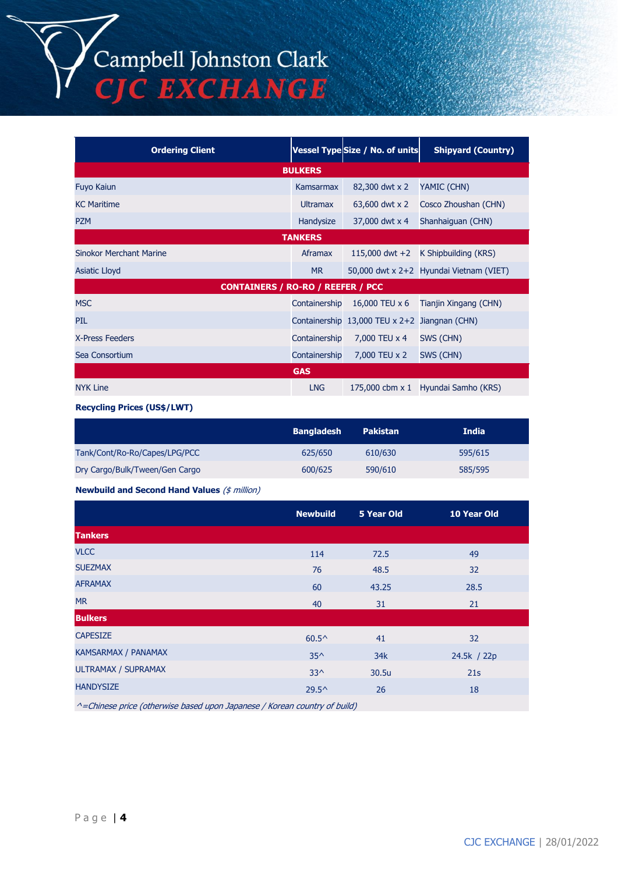# Campbell Johnston Clark C EXCHANGE

**Ordering Client Vessel Type Size / No. of units Shipyard (Country) BULKERS** Fuyo Kaiun Kamsarmax 82,300 dwt x 2 YAMIC (CHN) KC Maritime **EXAC Maritime** CHN) **Ultramax** 63,600 dwt x 2 Cosco Zhoushan (CHN) PZM **Handysize 37,000 dwt x 4 Shanhaiguan (CHN)** Bandysize 37,000 dwt x 4 Shanhaiguan (CHN) **TANKERS** Sinokor Merchant Marine **Aframax** 115,000 dwt +2 K Shipbuilding (KRS) Asiatic Lloyd MR 50,000 dwt x 2+2 Hyundai Vietnam (VIET) **CONTAINERS / RO-RO / REEFER / PCC** MSC Containership 16,000 TEU x 6 Tianjin Xingang (CHN) PIL Containership 13,000 TEU x 2+2 Jiangnan (CHN) X-Press Feeders **Containership** 7,000 TEU x 4 SWS (CHN) Sea Consortium Containership 7,000 TEU x 2 SWS (CHN) **GAS** NYK Line LNG 175,000 cbm x 1 Hyundai Samho (KRS)

**Recycling Prices (US\$/LWT)**

|                                | <b>Bangladesh</b> | <b>Pakistan</b> | <b>India</b> |
|--------------------------------|-------------------|-----------------|--------------|
| Tank/Cont/Ro-Ro/Capes/LPG/PCC  | 625/650           | 610/630         | 595/615      |
| Dry Cargo/Bulk/Tween/Gen Cargo | 600/625           | 590/610         | 585/595      |

**Newbuild and Second Hand Values** (\$ million)

|                                                                              | <b>Newbuild</b> | 5 Year Old | 10 Year Old |
|------------------------------------------------------------------------------|-----------------|------------|-------------|
| <b>Tankers</b>                                                               |                 |            |             |
| <b>VLCC</b>                                                                  | 114             | 72.5       | 49          |
| <b>SUEZMAX</b>                                                               | 76              | 48.5       | 32          |
| <b>AFRAMAX</b>                                                               | 60              | 43.25      | 28.5        |
| <b>MR</b>                                                                    | 40              | 31         | 21          |
| <b>Bulkers</b>                                                               |                 |            |             |
| <b>CAPESIZE</b>                                                              | $60.5^{\circ}$  | 41         | 32          |
| KAMSARMAX / PANAMAX                                                          | $35^{\wedge}$   | 34k        | 24.5k / 22p |
| ULTRAMAX / SUPRAMAX                                                          | $33^{\wedge}$   | 30.5u      | 21s         |
| <b>HANDYSIZE</b>                                                             | $29.5^{\circ}$  | 26         | 18          |
| $A$ -Chinaga price (athonyiga based ynan Iananega / Karoan soyntru af byild) |                 |            |             |

^=Chinese price (otherwise based upon Japanese / Korean country of build)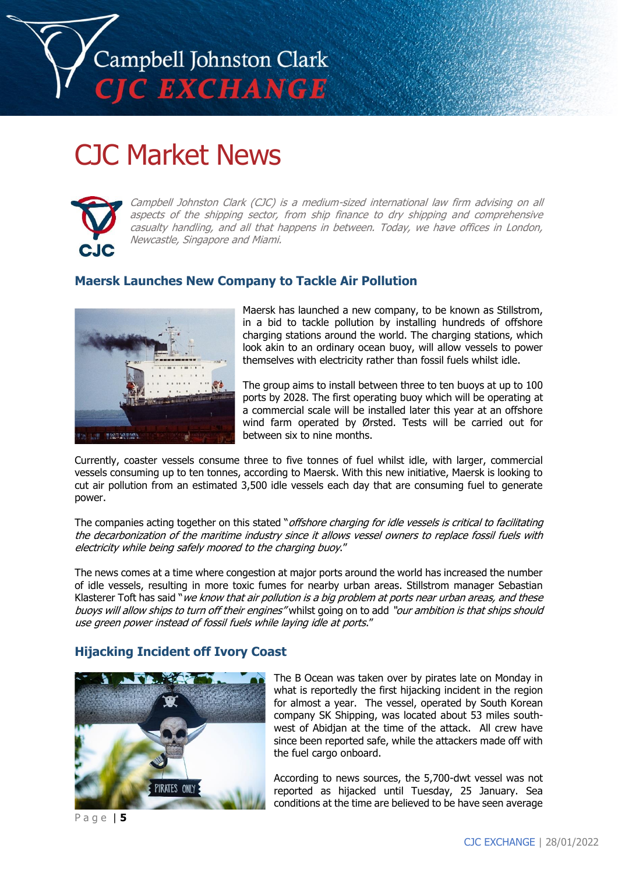

# CJC Market News



Campbell Johnston Clark (CJC) is a medium-sized international law firm advising on all aspects of the shipping sector, from ship finance to dry shipping and comprehensive casualty handling, and all that happens in between. Today, we have offices in London, Newcastle, Singapore and Miami.

# **Maersk Launches New Company to Tackle Air Pollution**



Maersk has launched a new company, to be known as Stillstrom, in a bid to tackle pollution by installing hundreds of offshore charging stations around the world. The charging stations, which look akin to an ordinary ocean buoy, will allow vessels to power themselves with electricity rather than fossil fuels whilst idle.

The group aims to install between three to ten buoys at up to 100 ports by 2028. The first operating buoy which will be operating at a commercial scale will be installed later this year at an offshore wind farm operated by Ørsted. Tests will be carried out for between six to nine months.

Currently, coaster vessels consume three to five tonnes of fuel whilst idle, with larger, commercial vessels consuming up to ten tonnes, according to Maersk. With this new initiative, Maersk is looking to cut air pollution from an estimated 3,500 idle vessels each day that are consuming fuel to generate power.

The companies acting together on this stated "offshore charging for idle vessels is critical to facilitating the decarbonization of the maritime industry since it allows vessel owners to replace fossil fuels with electricity while being safely moored to the charging buoy."

The news comes at a time where congestion at major ports around the world has increased the number of idle vessels, resulting in more toxic fumes for nearby urban areas. Stillstrom manager Sebastian Klasterer Toft has said "we know that air pollution is a big problem at ports near urban areas, and these buoys will allow ships to turn off their engines" whilst going on to add "our ambition is that ships should use green power instead of fossil fuels while laying idle at ports."

## **Hijacking Incident off Ivory Coast**



The B Ocean was taken over by pirates late on Monday in what is reportedly the first hijacking incident in the region for almost a year. The vessel, operated by South Korean company SK Shipping, was located about 53 miles southwest of Abidjan at the time of the attack. All crew have since been reported safe, while the attackers made off with the fuel cargo onboard.

According to news sources, the 5,700-dwt vessel was not reported as hijacked until Tuesday, 25 January. Sea conditions at the time are believed to be have seen average

P a g e | **5**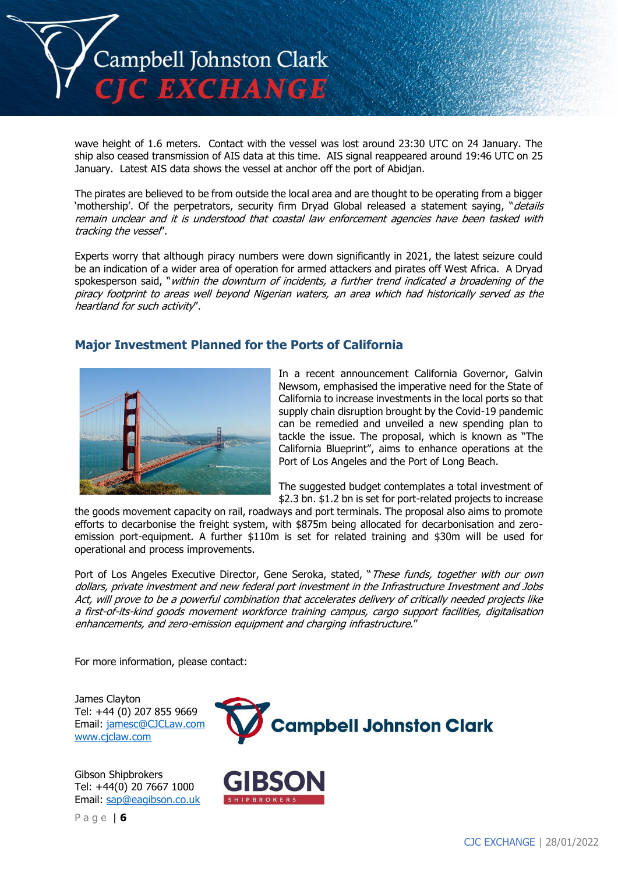

wave height of 1.6 meters. Contact with the vessel was lost around 23:30 UTC on 24 January. The ship also ceased transmission of AIS data at this time. AIS signal reappeared around 19:46 UTC on 25 January. Latest AIS data shows the vessel at anchor off the port of Abidjan.

The pirates are believed to be from outside the local area and are thought to be operating from a bigger 'mothership'. Of the perpetrators, security firm Dryad Global released a statement saying, "*details* remain unclear and it is understood that coastal law enforcement agencies have been tasked with tracking the vessel".

Experts worry that although piracy numbers were down significantly in 2021, the latest seizure could be an indication of a wider area of operation for armed attackers and pirates off West Africa. A Dryad spokesperson said, "within the downturn of incidents, a further trend indicated a broadening of the piracy footprint to areas well beyond Nigerian waters, an area which had historically served as the heartland for such activity".

# **Major Investment Planned for the Ports of California**



In a recent announcement California Governor, Galvin Newsom, emphasised the imperative need for the State of California to increase investments in the local ports so that supply chain disruption brought by the Covid-19 pandemic can be remedied and unveiled a new spending plan to tackle the issue. The proposal, which is known as "The California Blueprint", aims to enhance operations at the Port of Los Angeles and the Port of Long Beach.

The suggested budget contemplates a total investment of \$2.3 bn. \$1.2 bn is set for port-related projects to increase

the goods movement capacity on rail, roadways and port terminals. The proposal also aims to promote efforts to decarbonise the freight system, with \$875m being allocated for decarbonisation and zeroemission port-equipment. A further \$110m is set for related training and \$30m will be used for operational and process improvements.

Port of Los Angeles Executive Director, Gene Seroka, stated, "These funds, together with our own dollars, private investment and new federal port investment in the Infrastructure Investment and Jobs Act, will prove to be a powerful combination that accelerates delivery of critically needed projects like a first-of-its-kind goods movement workforce training campus, cargo support facilities, digitalisation enhancements, and zero-emission equipment and charging infrastructure."

For more information, please contact:

James Clayton Tel: +44 (0) 207 855 9669 Email: [jamesc@CJCLaw.com](mailto:jamesc@CJCLaw.com) [www.cjclaw.com](http://www.cjclaw.com/)

Gibson Shipbrokers Tel: +44(0) 20 7667 1000 Email: [sap@eagibson.co.uk](mailto:sap@eagibson.co.uk)